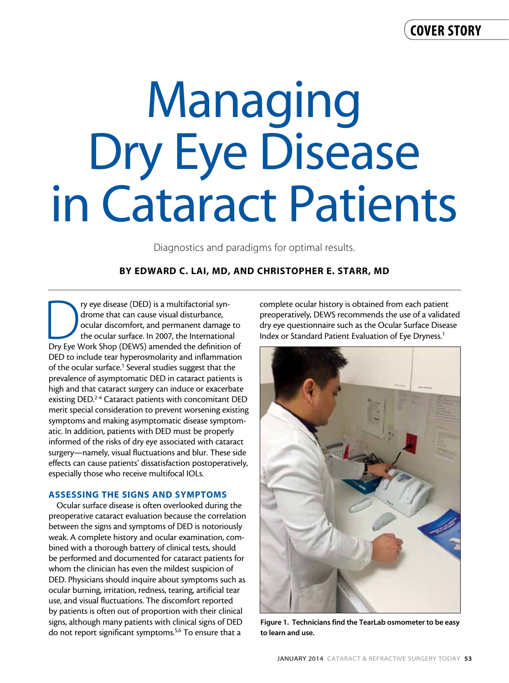## cover story

# Managing Dry Eye Disease in Cataract Patients

Diagnostics and paradigms for optimal results.

## By Edward C. Lai, MD, and Christopher E. Starr, MD

The property eye disease (DED) is a multifactorial syn-<br>drome that can cause visual disturbance,<br>ocular discomfort, and permanent damage to<br>the ocular surface. In 2007, the International<br>Dry Eye Work Shop (DEWS) amended th drome that can cause visual disturbance, ocular discomfort, and permanent damage to the ocular surface. In 2007, the International DED to include tear hyperosmolarity and inflammation of the ocular surface.<sup>1</sup> Several studies suggest that the prevalence of asymptomatic DED in cataract patients is high and that cataract surgery can induce or exacerbate existing DED.<sup>2-4</sup> Cataract patients with concomitant DED merit special consideration to prevent worsening existing symptoms and making asymptomatic disease symptomatic. In addition, patients with DED must be properly informed of the risks of dry eye associated with cataract surgery—namely, visual fluctuations and blur. These side effects can cause patients' dissatisfaction postoperatively, especially those who receive multifocal IOLs.

#### ASSESSING THE SIGNS AND SYMPTOMS

Ocular surface disease is often overlooked during the preoperative cataract evaluation because the correlation between the signs and symptoms of DED is notoriously weak. A complete history and ocular examination, combined with a thorough battery of clinical tests, should be performed and documented for cataract patients for whom the clinician has even the mildest suspicion of DED. Physicians should inquire about symptoms such as ocular burning, irritation, redness, tearing, artificial tear use, and visual fluctuations. The discomfort reported by patients is often out of proportion with their clinical signs, although many patients with clinical signs of DED do not report significant symptoms.5,6 To ensure that a

complete ocular history is obtained from each patient preoperatively, DEWS recommends the use of a validated dry eye questionnaire such as the Ocular Surface Disease Index or Standard Patient Evaluation of Eye Dryness.<sup>1</sup>



Figure 1. Technicians find the TearLab osmometer to be easy to learn and use.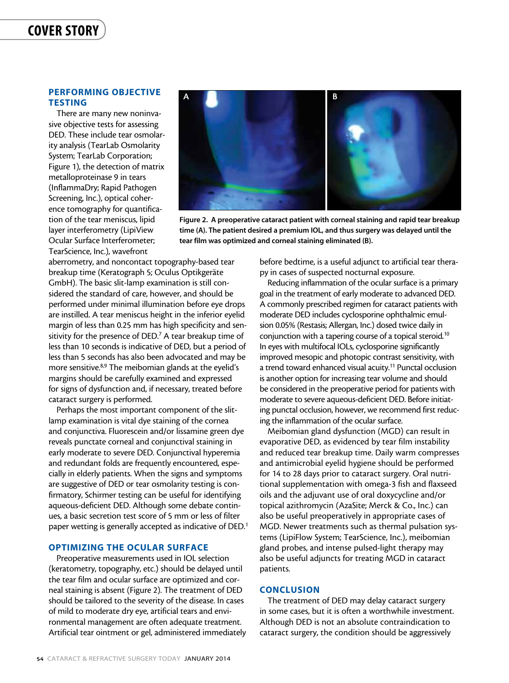## cover story

## PERFORMING OBJECTIVE **TESTING**

There are many new noninvasive objective tests for assessing DED. These include tear osmolarity analysis (TearLab Osmolarity System; TearLab Corporation; Figure 1), the detection of matrix metalloproteinase 9 in tears (InflammaDry; Rapid Pathogen Screening, Inc.), optical coherence tomography for quantification of the tear meniscus, lipid layer interferometry (LipiView Ocular Surface Interferometer; TearScience, Inc.), wavefront



Figure 2. A preoperative cataract patient with corneal staining and rapid tear breakup time (A). The patient desired a premium IOL, and thus surgery was delayed until the tear film was optimized and corneal staining eliminated (B).

aberrometry, and noncontact topography-based tear breakup time (Keratograph 5; Oculus Optikgeräte GmbH). The basic slit-lamp examination is still considered the standard of care, however, and should be performed under minimal illumination before eye drops are instilled. A tear meniscus height in the inferior eyelid margin of less than 0.25 mm has high specificity and sensitivity for the presence of DED. $7$  A tear breakup time of less than 10 seconds is indicative of DED, but a period of less than 5 seconds has also been advocated and may be more sensitive.8,9 The meibomian glands at the eyelid's margins should be carefully examined and expressed for signs of dysfunction and, if necessary, treated before cataract surgery is performed.

Perhaps the most important component of the slitlamp examination is vital dye staining of the cornea and conjunctiva. Fluorescein and/or lissamine green dye reveals punctate corneal and conjunctival staining in early moderate to severe DED. Conjunctival hyperemia and redundant folds are frequently encountered, especially in elderly patients. When the signs and symptoms are suggestive of DED or tear osmolarity testing is confirmatory, Schirmer testing can be useful for identifying aqueous-deficient DED. Although some debate continues, a basic secretion test score of 5 mm or less of filter paper wetting is generally accepted as indicative of DED.<sup>1</sup>

## OPTIMIZING THE OCULAR SURFACE

Preoperative measurements used in IOL selection (keratometry, topography, etc.) should be delayed until the tear film and ocular surface are optimized and corneal staining is absent (Figure 2). The treatment of DED should be tailored to the severity of the disease. In cases of mild to moderate dry eye, artificial tears and environmental management are often adequate treatment. Artificial tear ointment or gel, administered immediately before bedtime, is a useful adjunct to artificial tear therapy in cases of suspected nocturnal exposure.

Reducing inflammation of the ocular surface is a primary goal in the treatment of early moderate to advanced DED. A commonly prescribed regimen for cataract patients with moderate DED includes cyclosporine ophthalmic emulsion 0.05% (Restasis; Allergan, Inc.) dosed twice daily in conjunction with a tapering course of a topical steroid.<sup>10</sup> In eyes with multifocal IOLs, cyclosporine significantly improved mesopic and photopic contrast sensitivity, with a trend toward enhanced visual acuity.<sup>11</sup> Punctal occlusion is another option for increasing tear volume and should be considered in the preoperative period for patients with moderate to severe aqueous-deficient DED. Before initiating punctal occlusion, however, we recommend first reducing the inflammation of the ocular surface.

Meibomian gland dysfunction (MGD) can result in evaporative DED, as evidenced by tear film instability and reduced tear breakup time. Daily warm compresses and antimicrobial eyelid hygiene should be performed for 14 to 28 days prior to cataract surgery. Oral nutritional supplementation with omega-3 fish and flaxseed oils and the adjuvant use of oral doxycycline and/or topical azithromycin (AzaSite; Merck & Co., Inc.) can also be useful preoperatively in appropriate cases of MGD. Newer treatments such as thermal pulsation systems (LipiFlow System; TearScience, Inc.), meibomian gland probes, and intense pulsed-light therapy may also be useful adjuncts for treating MGD in cataract patients.

#### **CONCLUSION**

The treatment of DED may delay cataract surgery in some cases, but it is often a worthwhile investment. Although DED is not an absolute contraindication to cataract surgery, the condition should be aggressively